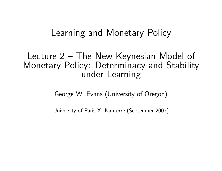# Learning and Monetary Policy

# Lecture 2 — The New Keynesian Model of Monetary Policy: Determinacy and Stability under Learning

George W. Evans (University of Oregon)

University of Paris <sup>X</sup> -Nanterre (September 2007)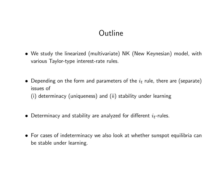# **Outline**

- We study the linearized (multivariate) NK (New Keynesian) model, with various Taylor-type interest-rate rules.
- $\bullet~$  Depending on the form and parameters of the  $i_t$  rule, there are (separate) issues of(i) determinacy (uniqueness) and (ii) stability under learning
- $\bullet\,$  Determinacy and stability are analyzed for different  $i_t$ -rules.
- For cases of indeterminacy we also look at whether sunspot equilibria can be stable under learning.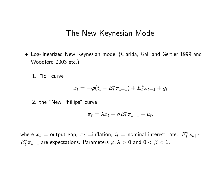### The New Keynesian Model

• Log-linearized New Keynesian model (Clarida, Gali and Gertler 1999 and Woodford 2003 etc.).

1. "IS" curve

$$
x_t = -\varphi(i_t - E_t^* \pi_{t+1}) + E_t^* x_{t+1} + g_t
$$

2. the "New Phillips" curve

$$
\pi_t = \lambda x_t + \beta E_t^* \pi_{t+1} + u_t,
$$

where  $x_t=$  output gap,  $\pi_t=$ inflation,  $i_t=$  nominal interest rate.  $E$  $\overset{*}{t}x_{t+1}$  ,  $\,E$  $t^*\pi_{t+1}$  are expectations. Parameters  $\varphi,\lambda>0$  and  $0<\beta< 1.$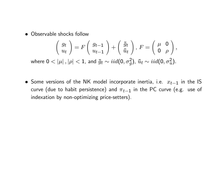• Observable shocks follow

$$
\begin{pmatrix} g_t \\ u_t \end{pmatrix} = F \begin{pmatrix} g_{t-1} \\ u_{t-1} \end{pmatrix} + \begin{pmatrix} \tilde{g}_t \\ \tilde{u}_t \end{pmatrix}, F = \begin{pmatrix} \mu & \mathbf{0} \\ \mathbf{0} & \rho \end{pmatrix},
$$
  
where  $\mathbf{0} < |\mu|, |\rho| < 1$ , and  $\tilde{g}_t \sim \text{iid}(\mathbf{0}, \sigma_g^2)$ ,  $\tilde{u}_t \sim \text{iid}(\mathbf{0}, \sigma_u^2)$ .

 $\bullet$  Some versions of the NK model incorporate inertia, i.e.  $x_{t-1}$  in the IS curve (due to habit persistence) and  $\pi_{t-1}$  in the PC curve (e.g. use of indexation by non-optimizing price-setters).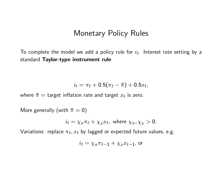### Monetary Policy Rules

To complete the model we add a policy rule for  $i_t$ . Interest rate setting by a standard **Taylor-type instrument rule** 

$$
i_t = \pi_t + 0.5(\pi_t - \bar{\pi}) + 0.5x_t,
$$

where  $\bar{\pi}=\text{target}$  inflation rate and target  $x_t$  is zero.

More generally (with  $\bar{\pi} = 0$ )

$$
i_t = \chi_{\pi} \pi_t + \chi_x x_t
$$
, where  $\chi_{\pi}, \chi_x > 0$ .

Variations: replace  $\pi_t, x_t$  by lagged or expected future values, e.g.

$$
i_t = \chi_{\pi} \pi_{t-1} + \chi_x x_{t-1}
$$
, or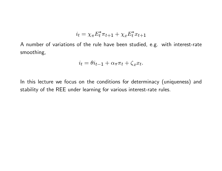$$
i_t = \chi_{\pi} E_t^* \pi_{t+1} + \chi_x E_t^* x_{t+1}
$$

A number of variations of the rule have been studied, e.g. with interest-rate smoothing,

$$
i_t = \theta i_{t-1} + \alpha_\pi \pi_t + \zeta_x x_t.
$$

In this lecture we focus on the conditions for determinacy (uniqueness) and stability of the REE under learning for various interest-rate rules.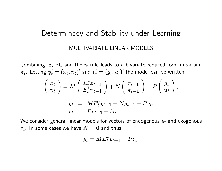## Determinacy and Stability under Learning

#### MULTIVARIATE LINEAR MODELS

Combining IS, PC and the  $i_t$  rule leads to a bivariate reduced form in  $x_t$  and  $\pi_t.$  Letting  $y'_t = (x_t, \pi_t)'$  and  $v'_t = (g_t, u_t)'$  the model can be written

$$
\begin{pmatrix}\nx_t \\
\pi_t\n\end{pmatrix} = M \begin{pmatrix}\nE_t^* x_{t+1} \\
E_t^* \pi_{t+1}\n\end{pmatrix} + N \begin{pmatrix}\nx_{t-1} \\
\pi_{t-1}\n\end{pmatrix} + P \begin{pmatrix}\ng_t \\
u_t\n\end{pmatrix},
$$
\n
$$
y_t = M E_t^* y_{t+1} + N y_{t-1} + P v_t.
$$
\n
$$
v_t = F v_{t-1} + \tilde{v}_t.
$$

We consider general linear models for vectors of endogenous  $y_t$  and exogenous  $v_t.$  In some cases we have  $N= {\mathsf 0}$  and thus

$$
y_t = ME_t^* y_{t+1} + Pv_t.
$$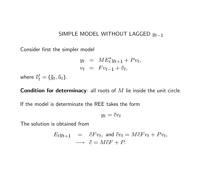#### SIMPLE MODEL WITHOUT LAGGED  $y_{t-1}$

Consider first the simpler model

$$
y_t = ME_t^* y_{t+1} + Pv_t,
$$
  

$$
v_t = Fv_{t-1} + \tilde{v}_t,
$$

where  $\tilde{v}_t' = (\tilde{g}_t, \tilde{u}_t)$ .

 ${\sf Condition}$  for determinacy: all roots of  $M$  lie inside the unit circle.

If the model is determinate the REE takes the form

$$
y_t = \bar{c}v_t
$$

The solution is obtained from

$$
E_t y_{t+1} = \bar{c} F v_t, \text{ and } \bar{c} v_t = M \bar{c} F v_t + P v_t,
$$
  

$$
\longrightarrow \bar{c} = M \bar{c} F + P.
$$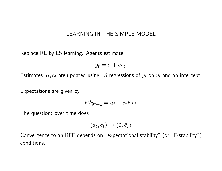#### LEARNING IN THE SIMPLE MODEL

Replace RE by LS learning. Agents estimate

 $y_t = a + cv_t.$ 

Estimates  $a_t, c_t$  are updated using LS regressions of  $y_t$  on  $v_t$  and an intercept.

Expectations are given by

$$
E_t^* y_{t+1} = a_t + c_t F v_t.
$$

The question: over time does

$$
(a_t, c_t) \rightarrow (0, \bar{c})?
$$

Convergence to an REE depends on "expectational stability" (or "E-stability") conditions.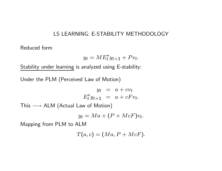### LS LEARNING: E-STABILITY METHODOLOGY

Reduced form

$$
y_t = ME_t^* y_{t+1} + Pv_t.
$$

Stability under learning is analyzed using E-stability:

Under the PLM (Perceived Law of Motion)

$$
y_t = a + cv_t
$$
  

$$
E_t^* y_{t+1} = a + cF v_t.
$$

 $\textsf{This}\longrightarrow \textsf{ALM}$  (Actual Law of Motion)

$$
y_t = Ma + (P + McF)v_t.
$$

Mapping from PLM to ALM

$$
T(a,c) = (Ma, P + McF).
$$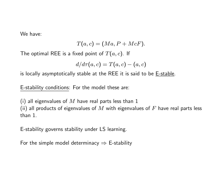We have:

$$
T(a,c)=(Ma,P+McF).
$$

The optimal REE is a fixed point of  $T(a, c)$ . If

$$
d/d\tau(a,c)=T(a,c)-(a,c)
$$

is locally asymptotically stable at the REE it is said to be  $E$ -stable.

E-stability conditions: For the model these are:

(i) all eigenvalues of  $M$  have real parts less than 1 (ii) all products of eigenvalues of  $M$  with eigenvalues of  $F$  have real parts less

than 1.

E-stability governs stability under LS learning.

For the simple model determinacy  $\Rightarrow$  E-stability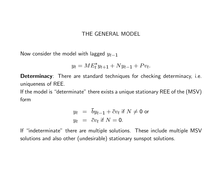### THE GENERAL MODEL

Now consider the model with lagged  $y_{t-1}$ 

$$
y_t = ME_t^* y_{t+1} + Ny_{t-1} + Pv_t.
$$

Determinacy: There are standard techniques for checking determinacy, i.e. uniqueness of REE.

If the model is "determinate" there exists <sup>a</sup> unique stationary REE of the (MSV) form

$$
y_t = \overline{b}y_{t-1} + \overline{c}v_t \text{ if } N \neq 0 \text{ or}
$$
  

$$
y_t = \overline{c}v_t \text{ if } N = 0.
$$

If "indeterminate" there are multiple solutions. These include multiple MSV solutions and also other (undesirable) stationary sunspot solutions.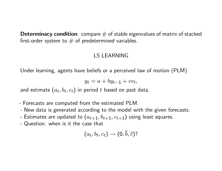**Determinacy condition**: compare  $#$  of stable eigenvalues of matrix of stacked first-order system to  $#$  of predetermined variables.

### LS LEARNING

Under learning, agents have beliefs or <sup>a</sup> perceived law of motion (PLM)

$$
y_t = a + by_{t-1} + cv_t,
$$

and estimate  $\left(a_t,b_t,c_t\right)$  in period  $t$  based on past data.

- Forecasts are computed from the estimated PLM.
- New data is generated according to the model with the given forecasts.
- -Estimates are updated to  $\left(a_{t+1}, b_{t+1}, c_{t+1}\right)$  using least squares.
- Question: when is it the case that

$$
(a_t,b_t,c_t)\rightarrow (0,\bar{b},\bar{c})?
$$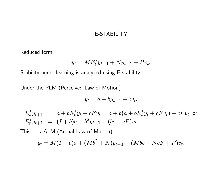#### E-STABILITY

Reduced form

$$
y_t = ME_t^* y_{t+1} + Ny_{t-1} + Pv_t.
$$

Stability under learning is analyzed using E-stability:

Under the PLM (Perceived Law of Motion)

$$
y_t = a + by_{t-1} + cv_t.
$$

 $E_t^*y_{t+1} \;\; = \;\; a + bE_t^*y_t + cF v_t = a + b(a + bE_t^*y_t + cF v_t) + cF v_t$ , or  $E_t^*y_{t+1} = (I+b)a + b^2y_{t-1} + (bc+cF)v_t.$ 

 $\textsf{This}\longrightarrow \textsf{ALM}$  (Actual Law of Motion)

$$
y_t = M(I+b)a + (Mb^2 + N)y_{t-1} + (Mbc + NcF + P)v_t.
$$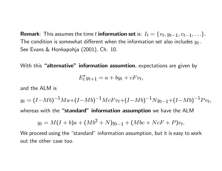**Remark**: This assumes the time  $t$  **information set** is:  $I_t = \{v_t, y_{t-1}, v_{t-1}, \ldots\}.$ The condition is somewhat different when the information set also includes  $y_t$  . See Evans & Honkapohja (2001), Ch. 10.

With this **"alternative" information assumtion**, expectations are given by

$$
E_t^* y_{t+1} = a + by_t + c F v_t,
$$

and the ALM is

$$
y_t = (I - Mb)^{-1}Ma + (I - Mb)^{-1}McFv_t + (I - Mb)^{-1}Ny_{t-1} + (I - Mb)^{-1}Pv_t,
$$
  
whereas with the "**standard**" **information assumption** we have the ALM

$$
y_t = M(I+b)a + (Mb^2 + N)y_{t-1} + (Mbc + NcF + P)v_t.
$$

We proceed using the "standard" information assumption, but it is easy to work out the other case too.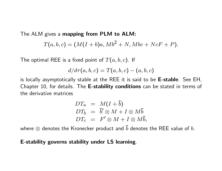The ALM gives <sup>a</sup> mapping from PLM to ALM:

$$
T(a,b,c)=(M(I+b)a,Mb^2+N,Mbc+NcF+P).
$$

The optimal REE is a fixed point of  $T(a, b, c)$ . If

$$
d/d\tau(a,b,c) = T(a,b,c) - (a,b,c)
$$

is locally asymptotically stable at the REE it is said to be **E-stable**. See EH, Chapter 10, for details. The E-stability conditions can be stated in terms of the derivative matrices

$$
DT_a = M(I + \bar{b})
$$
  
\n
$$
DT_b = \bar{b}' \otimes M + I \otimes M\bar{b}
$$
  
\n
$$
DT_c = F' \otimes M + I \otimes M\bar{b},
$$

where  $\otimes$  denotes the Kronecker product and  $\overline{b}$  $b$  denotes the REE value of  $b$ .

#### E-stability governs stability under LS learning.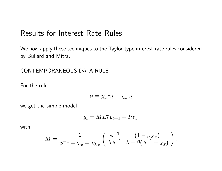## Results for Interest Rate Rules

We now apply these techniques to the Taylor-type interest-rate rules considered by Bullard and Mitra.

CONTEMPORANEOUS DATA RULE

For the rule

$$
i_t = \chi_\pi \pi_t + \chi_x x_t
$$

we get the simple model

$$
y_t = ME_t^* y_{t+1} + Pv_t,
$$

with

$$
M = \frac{1}{\phi^{-1} + \chi_x + \lambda \chi_\pi} \left( \begin{array}{cc} \phi^{-1} & (1 - \beta \chi_\pi) \\ \lambda \phi^{-1} & \lambda + \beta(\phi^{-1} + \chi_x) \end{array} \right)
$$

.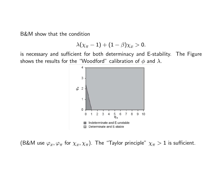B&M show that the condition

$$
\lambda(\chi_{\pi}-1)+(1-\beta)\chi_x>0.
$$

is necessary and sufficient for both determinacy and E-stability. The Figure shows the results for the "Woodford" calibration of  $\phi$  and  $\lambda.$ 



(B&M use  $\varphi_x,\varphi_\pi$  for  $\chi_x,\chi_\pi)$ . The "Taylor principle"  $\chi_\pi>1$  is sufficient.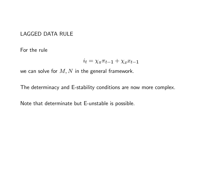### LAGGED DATA RULE

For the rule

$$
i_t = \chi_{\pi} \pi_{t-1} + \chi_x x_{t-1}
$$

we can solve for  $M,N$  in the general framework.

The determinacy and E-stability conditions are now more complex.

Note that determinate but E-unstable is possible.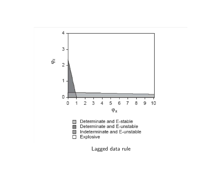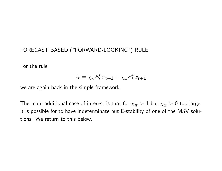### FORECAST BASED ("FORWARD-LOOKING") RULE

For the rule

$$
i_t = \chi_{\pi} E_t^* \pi_{t+1} + \chi_x E_t^* x_{t+1}
$$

we are again back in the simple framework.

The main additional case of interest is that for  $\chi_\pi>1$  but  $\chi_x>0$  too large, it is possible for to have Indeterminate but E-stability of one of the MSV solutions. We return to this below.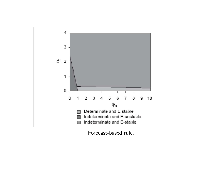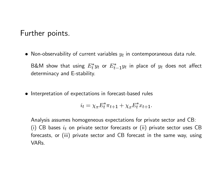## Further points.

- $\bullet\,$  Non-observability of current variables  $y_t$  in contemporaneous data rule. B&M show that using  $E_t^*y_t$  or  $E_{t-1}^*y_t$  in place of  $y_t$  does not affect determinacy and E-stability.
- Interpretation of expectations in forecast-based rules

$$
i_t = \chi_{\pi} E_t^* \pi_{t+1} + \chi_x E_t^* x_{t+1}.
$$

Analysis assumes homogeneous expectations for private sector and CB: (i) CB bases  $i_t$  on private sector forecasts or (ii) private sector uses CB forecasts, or (iii) private sector and CB forecast in the same way, using VARs.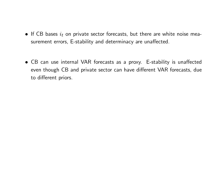- $\bullet\,$  If CB bases  $i_t$  on private sector forecasts, but there are white noise measurement errors, E-stability and determinacy are unaffected.
- CB can use internal VAR forecasts as <sup>a</sup> proxy. E-stability is unaffected even though CB and private sector can have different VAR forecasts, due to different priors.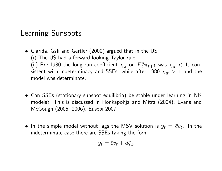# Learning Sunspots

- Clarida, Gali and Gertler (2000) argued that in the US: (i) The US had <sup>a</sup> forward-looking Taylor rule (ii) Pre-1980 the long-run coefficient  $\chi_{\pi}$  on  $E_t^*\pi_{t+1}$  was  $\chi_{\pi} < 1$ , consistent with indeterminacy and SSEs, while after 1980  $\chi_{\pi} \, > \, 1$  and the model was determinate.
- Can SSEs (stationary sunspot equilibria) be stable under learning in NK models? This is discussed in Honkapohja and Mitra (2004), Evans and McGough (2005, 2006), Eusepi 2007.
- $\bullet$  In the simple model without lags the MSV solution is  $y_t\,=\, \bar c v_t.$  In the indeterminate case there are SSEs taking the form

$$
y_t = \bar{c}v_t + \bar{d}\zeta_t,
$$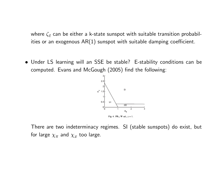where  $\zeta_t$  can be either a k-state sunspot with suitable transition probabilities or an exogenous  $AR(1)$  sunspot with suitable damping coefficient.

• Under LS learning will an SSE be stable? E-stability conditions can be computed. Evans and McGough (2005) find the following:



There are two indeterminacy regimes. SI (stable sunspots) do exist, but for large  $\chi_\pi$  and  $\chi_x$  too large.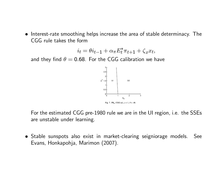• Interest-rate smoothing helps increase the area of stable determinacy. The CGG rule takes the form

$$
i_t = \theta i_{t-1} + \alpha_\pi E_t^* \pi_{t+1} + \zeta_x x_t,
$$

and they find  $\theta = 0.68$ . For the CGG calibration we have



For the estimated CGG pre-1980 rule we are in the UI region, i.e. the SSEs are unstable under learning.

• Stable sunspots also exist in market-clearing seigniorage models. See Evans, Honkapohja, Marimon (2007).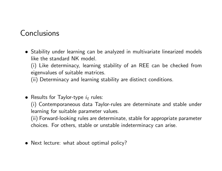# Conclusions

• Stability under learning can be analyzed in multivariate linearized models like the standard NK model.

(i) Like determinacy, learning stability of an REE can be checked from eigenvalues of suitable matrices.

(ii) Determinacy and learning stability are distinct conditions.

 $\bullet\,$  Results for Taylor-type  $i_t$  rules:

(i) Contemporaneous data Taylor-rules are determinate and stable under learning for suitable parameter values.

(ii) Forward-looking rules are determinate, stable for appropriate parameter choices. For others, stable or unstable indeterminacy can arise.

• Next lecture: what about optimal policy?